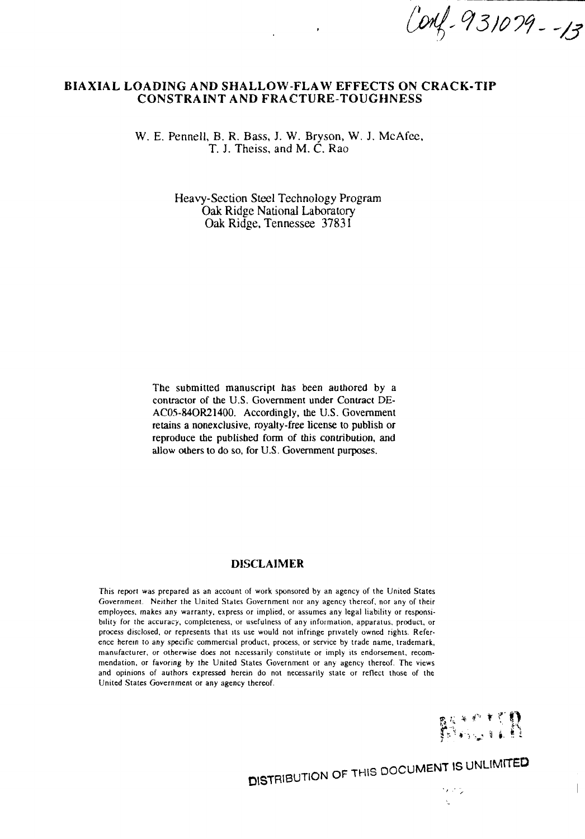Conf. 931029-13

## **BIAXIAL LOADING AND SHALLOW-FLAW EFFECTS ON CRACK-TIP CONSTRAINT AND FRACTURE-TOUGHNESS**

W. E. Pennell, B. R. Bass, J. W. Bryson, W. J. McAfee, T. J. Theiss, and M. C. Rao

> Heavy-Section Steel Technology Program Oak Ridge National Laboratory Oak Ridge, Tennessee 37831

The submitted manuscript has been authored by a contractor of the U.S. Government under Contract DE-AC05-84OR21400. Accordingly, the U.S. Government retains a nonexclusive, royalty-free license to publish or reproduce the published form of this contribution, and allow others to do so, for U.S. Government purposes.

#### **DISCLAIMER**

This report was prepared as an account of work sponsored by an agency of the United States Government. Neither the United States Government nor any agency thereof, nor any of their employees, makes any warranty, express or implied, or assumes any legal liability or responsibility for the accuracy, completeness, or usefulness of any information, apparatus, product, or process disclosed, or represents that its use would not infringe privately owned rights. Reference herein to any specific commercial product, process, or service by trade name, trademark, manufacturer, or olherwise does not necessarily constitute or imply its endorsement, recommendation, or favoring by the United Slates Government or any agency thereof. The views and opinions of authors expressed herein do not necessarily state or reflect those of the United States Government or any agency thereof.



siya ng  $\mathbf{c}$ 

 $\begin{array}{c} \hline \end{array}$ 

DISTRIBUTION OF THIS DOCUMENT IS UNLIMITED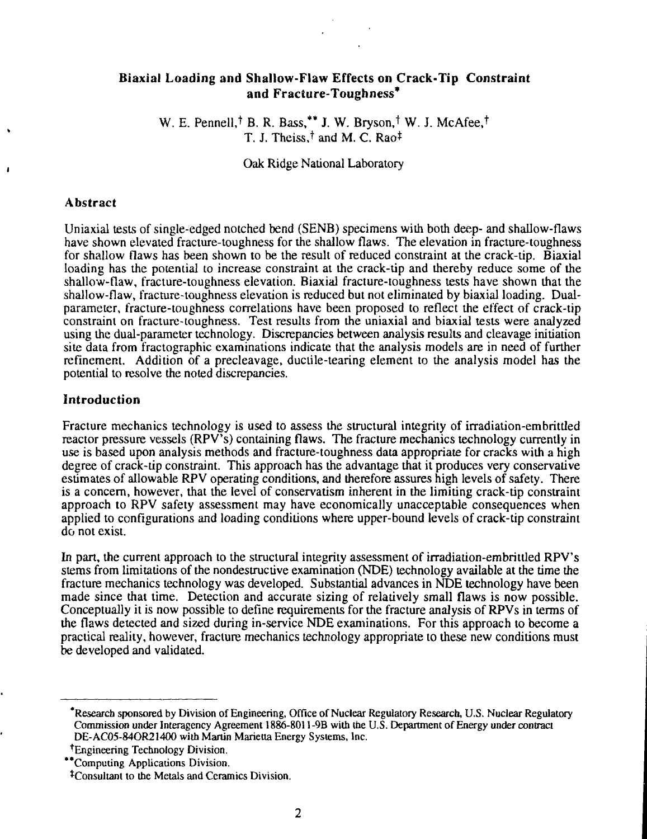## **Biaxial Loading and Shallow-Flaw Effects on Crack-Tip Constraint and Fracture-Toughness\***

W. E. Pennell,<sup>†</sup> B. R. Bass,\*\* J. W. Bryson,<sup>†</sup> W. J. McAfee,<sup>†</sup> T. J. Theiss, $<sup>†</sup>$  and M. C. Rao $<sup>‡</sup>$ </sup></sup>

Oak Ridge National Laboratory

#### **Abstract**

J

Uniaxial tests of single-edged notched bend (SENB) specimens with both deep- and shallow-flaws have shown elevated fracture-toughness for the shallow flaws. The elevation in fracture-toughness for shallow flaws has been shown to be the result of reduced constraint at the crack-tip. Biaxial loading has the potential to increase constraint at the crack-tip and thereby reduce some of the shallow-flaw, fracture-toughness elevation. Biaxial fracture-toughness tests have shown that the shallow-flaw, fracture-toughness elevation is reduced but not eliminated by biaxial loading. Dualparameter, fracture-toughness correlations have been proposed to reflect the effect of crack-tip constraint on fracture-toughness. Test results from the uniaxial and biaxial tests were analyzed using the dual-parameter technology. Discrepancies between analysis results and cleavage initiation site data from fractographic examinations indicate that the analysis models are in need of further refinement. Addition of a precleavage, ductile-tearing element to the analysis model has the potential to resolve the noted discrepancies.

#### **Introduction**

Fracture mechanics technology is used to assess the structural integrity of irradiation-embrittled reactor pressure vessels (RPV's) containing flaws. The fracture mechanics technology currently in use is based upon analysis methods and fracture-toughness data appropriate for cracks with a high degree of crack-tip constraint. This approach has the advantage that it produces very conservative estimates of allowable RPV operating conditions, and therefore assures high levels of safety. There is a concern, however, that the level of conservatism inherent in the limiting crack-tip constraint approach to RPV safety assessment may have economically unacceptable consequences when applied to configurations and loading conditions where upper-bound levels of crack-tip constraint do not exist.

In part, the current approach to the structural integrity assessment of irradiation-embrittled RPV's stems from limitations of the nondestructive examination (NDE) technology available at the time the fracture mechanics technology was developed. Substantial advances in NDE technology have been made since that time. Detection and accurate sizing of relatively small flaws is now possible. Conceptually it is now possible to define requirements for the fracture analysis of RPVs in terms of the flaws detected and sized during in-service NDE examinations. For this approach to become a practical reality, however, fracture mechanics technology appropriate to these new conditions must be developed and validated.

<sup>&#</sup>x27;Research sponsored by Division of Engineering, Office of Nuclear Regulatory Research, U.S. Nuclear Regulatory Commission under Interagency Agreement 1886-8011-9B with the U.S. Department of Energy under contract DE-AC05-84OR21400 with Martin Marietta Energy Systems, Inc.

<sup>^</sup>Engineering Technology Division.

<sup>&</sup>quot;Computing Applications Division.

<sup>^</sup>Consultant to the Metals and Ceramics Division.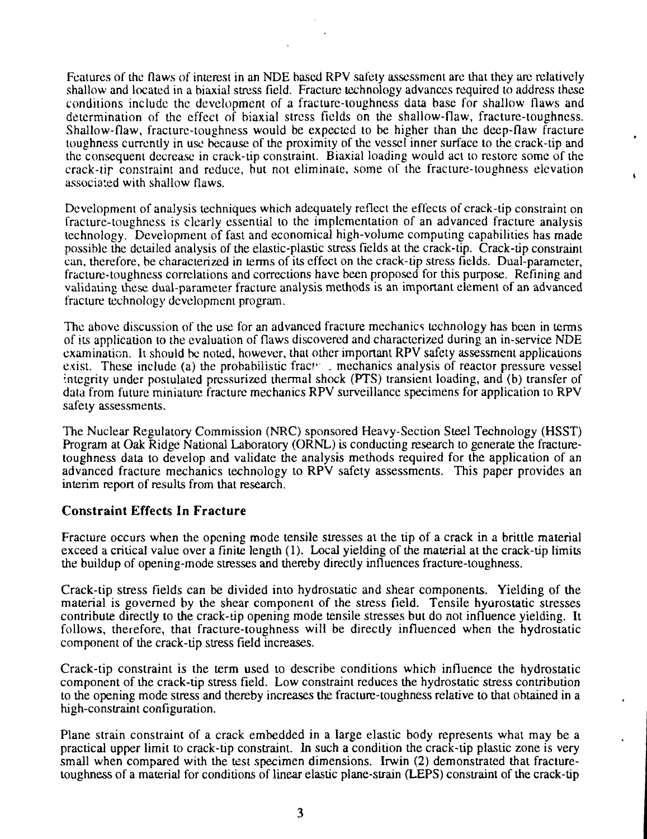Features of the flaws of interest in an NDE based RPV safety assessment are that they are relatively shallow and located in a biaxial stress field. Fracture technology advances required to address these conditions include the development of a fracture-toughness data base for shallow flaws and determination of the effect of biaxial stress fields on the shallow-flaw, fracture-toughness. Shallow-flaw, fracture-toughness would be expected to be higher than the deep-flaw fracture toughness currently in use because of the proximity of the vessel inner surface to the crack-tip and the consequent decrease in crack-tip constraint. Biaxial loading would act to restore some of the crack-tip constraint and reduce, but not eliminate, some of the fracture-toughness elevation associated with shallow flaws.

 $\mathbf{r}$ 

Development of analysis techniques which adequately reflect the effects of crack-tip constraint on fracture-toughness is clearly essential to the implementation of an advanced fracture analysis technology. Development of fast and economical high-volume computing capabilities has made possible the detailed analysis of the elastic-plastic stress fields at the crack-tip. Crack-tip constraint can, therefore, be characterized in terms of its effect on the crack-tip stress fields. Dual-parameter, fracture-toughness correlations and corrections have been proposed for this purpose. Refining and validating these dual-parameter fracture analysis methods is an important element of an advanced fracture technology development program.

The above discussion of the use for an advanced fracture mechanics technology has been in terms of its application to the evaluation of flaws discovered and characterized during an in-service NDE examination. It should be noted, however, that other important RPV safety assessment applications exist. These include (a) the probabilistic fract . mechanics analysis of reactor pressure vessel integrity under postulated pressurized thermal shock (PTS) transient loading, and (b) transfer of data from future miniature fracture mechanics RPV surveillance specimens for application to RPV safety assessments.

The Nuclear Regulatory Commission (NRC) sponsored Heavy-Section Steel Technology (HSST) Program at Oak Ridge National Laboratory (ORNL) is conducting research to generate the fracturetoughness data to develop and validate the analysis methods required for the application of an advanced fracture mechanics technology to RPV safety assessments. This paper provides an interim report of results from that research.

## **Constraint Effects In Fracture**

Fracture occurs when the opening mode tensile stresses at the tip of a crack in a brittle material exceed a critical value over a finite length (1). Local yielding of the material at the crack-tip limits the buildup of opening-mode stresses and thereby directly influences fracture-toughness.

Crack-tip stress fields can be divided into hydrostatic and shear components. Yielding of the material is governed by the shear component of the stress field. Tensile hyurostatic stresses contribute directly to the crack-tip opening mode tensile stresses but do not influence yielding. It follows, therefore, that fracture-toughness will be directly influenced when the hydrostatic component of the crack-tip stress field increases.

Crack-tip constraint is the term used to describe conditions which influence the hydrostatic component of the crack-tip stress field. Low constraint reduces the hydrostatic stress contribution to the opening mode stress and thereby increases the fracture-toughness relative to that obtained in a high-constraint configuration.

Plane strain constraint of a crack embedded in a large elastic body represents what may be a practical upper limit to crack-tip constraint. In such a condition the crack-tip plastic zone is very small when compared with the test specimen dimensions. Irwin (2) demonstrated that fracturetoughness of a material for conditions of linear elastic plane-strain (LEPS) constraint of the crack-tip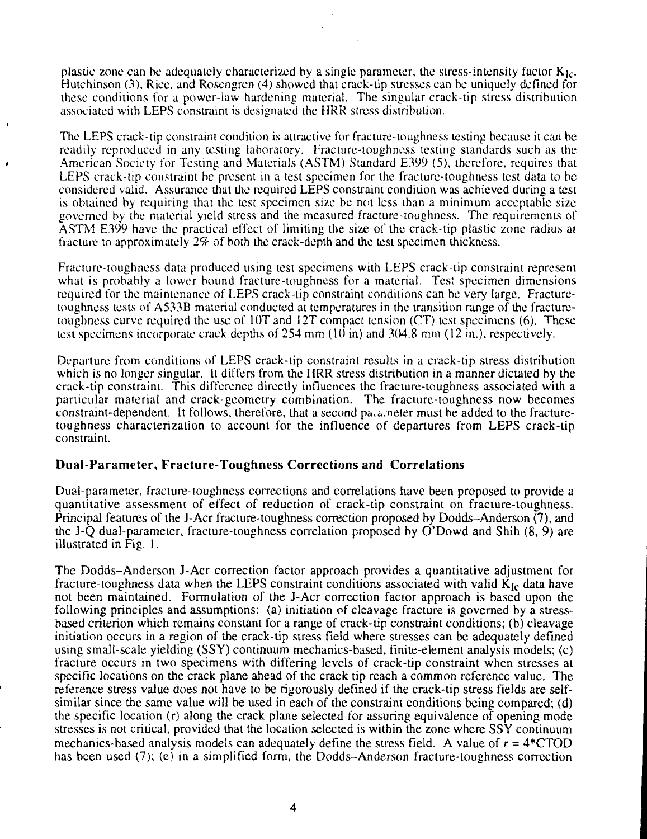plastic zone can be adequately characterized by a single parameter, the stress-intensity factor  $K_{1c}$ . Hutchinson (3), Rice, and Rosengren (4) showed that crack-tip stresses can be uniquely defined for these conditions for a power-law hardening material. The singular crack-tip stress distribution associated with LEPS constraint is designated the HRR stress distribution.

The LEPS crack-tip constraint condition is attractive for fracture-toughness testing because it can be readily reproduced in any testing laboratory. Fracture-toughness testing standards such as the American Society for Testing and Materials (ASTM) Standard E399 (5), therefore, requires that LEPS crack-tip constraint be present in a test specimen for the fracture-toughness test data to be considered valid. Assurance that the required LEPS constraint condition was achieved during a test is obtained by requiring that the test specimen size be not less than a minimum acceptable size governed by the material yield stress and the measured fracture-toughness. The requirements of ASTM E399 have the practical effect of limiting the size of the crack-tip plastic zone radius at fracture to approximately  $2\%$  of both the crack-depth and the test specimen thickness.

Fracture-toughness data produced using test specimens with LEPS crack-tip constraint represent what is probably a lower bound fracture-toughness for a material. Test specimen dimensions required for the maintenance of LEPS crack-tip constraint conditions can be very large. Fracturetoughness tests of A533B material conducted at temperatures in the transition range of the fracturetoughness curve required the use of 10T and I2T compact tension (CT) test specimens (6). These test specimens incorporate crack depths of  $254 \text{ mm}$  (10 in) and  $3(44.8 \text{ mm})$  (12 in.), respectively.

Departure from conditions of LEPS crack-tip constraint results in a crack-tip stress distribution which is no longer singular. It differs from the HRR stress distribution in a manner dictated by the crack-tip constraint. This difference directly influences the fracture-toughness associated with a particular material and crack-geometry combination. The fracture-toughness now becomes constraint-dependent. It follows, therefore, that a second pa.a.neter must be added to the fracturetoughness characterization to account for the influence of departures from LEPS crack-tip constraint.

#### **Dual-Parameter, Fracture-Toughness Corrections and Correlations**

×

Dual-parameter, fracture-toughness corrections and correlations have been proposed to provide a quantitative assessment of effect of reduction of crack-tip constraint on fracture-toughness. Principal features of the J-Acr fracture-toughness correction proposed by Dodds-Anderson (7), and the J-Q dual-parameter, fracture-toughness correlation proposed by O'Dowd and Shih (8, 9) are illustrated in Fig. 1.

The Dodds-Anderson J-Acr correction factor approach provides a quantitative adjustment for fracture-toughness data when the LEPS constraint conditions associated with valid  $K_{1c}$  data have not been maintained. Formulation of the J-Acr correction factor approach is based upon the following principles and assumptions: (a) initiation of cleavage fracture is governed by a stressbased criterion which remains constant for a range of crack-tip constraint conditions; (b) cleavage initiation occurs in a region of the crack-tip stress field where stresses can be adequately defined using small-scale yielding (SSY) continuum mechanics-based, finite-element analysis models; (c) fracture occurs in two specimens with differing levels of crack-tip constraint when stresses at specific locations on the crack plane ahead of the crack tip reach a common reference value. The reference stress value does not have to be rigorously defined if the crack-tip stress fields are selfsimilar since the same value will be used in each of the constraint conditions being compared; (d) the specific location (r) along the crack plane selected for assuring equivalence of opening mode stresses is not critical, provided that the location selected is within the zone where SSY continuum mechanics-based analysis models can adequately define the stress field. A value of *r* = 4\*CTOD has been used (7); (e) in a simplified form, the Dodds-Anderson fracture-toughness correction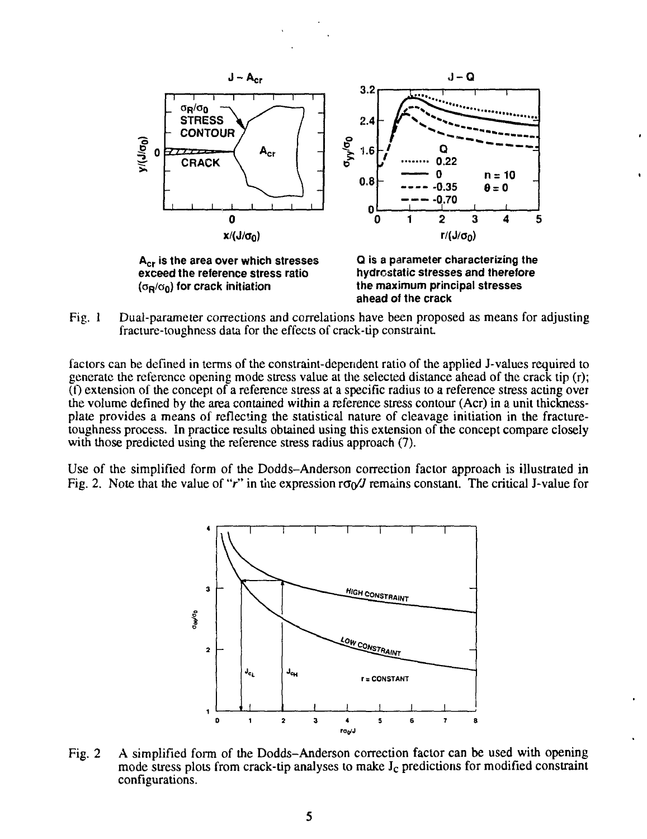

Fig. 1 Dual-parameter corrections and correlations have been proposed as means for adjusting fracture-toughness data for the effects of crack-tip constraint.

factors can be defined in terms of the constraint-dependent ratio of the applied J-values required to generate the reference opening mode stress value at the selected distance ahead of the crack tip (r);  $(t)$  extension of the concept of a reference stress at a specific radius to a reference stress acting over the volume defined by the area contained within a reference stress contour (Acr) in a unit thicknessplate provides a means of reflecting the statistical nature of cleavage initiation in the fracturetoughness process. In practice results obtained using this extension of the concept compare closely with those predicted using the reference stress radius approach  $(7)$ .

Use of the simplified form of the Dodds-Anderson correction factor approach is illustrated in Fig. 2. Note that the value of "r" in the expression  $\sigma_0$  *remains constant.* The critical J-value for



Fig. 2 A simplified form of the Dodds-Anderson correction factor can be used with opening mode stress plots from crack-tip analyses to make  $J<sub>c</sub>$  predictions for modified constraint configurations.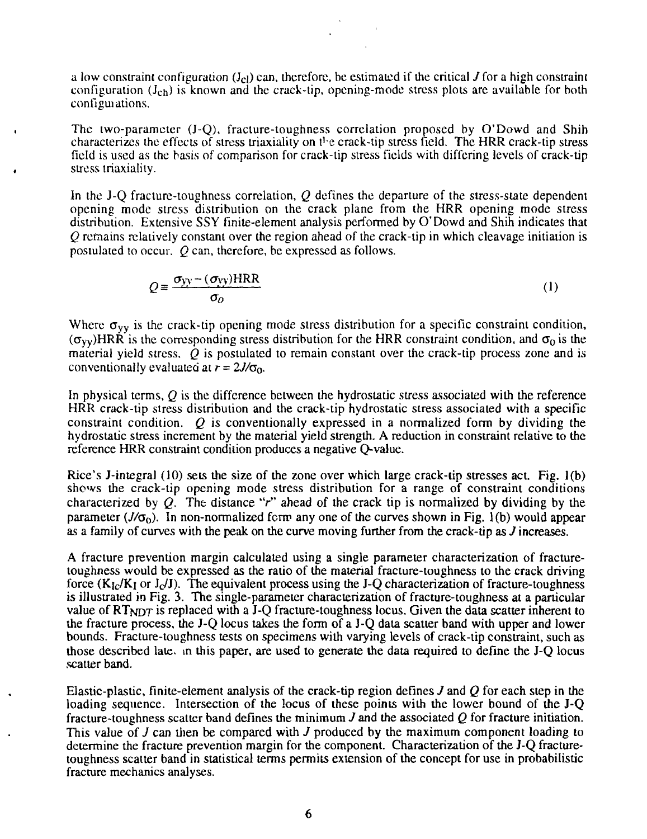a low constraint configuration  $(J_{cl})$  can, therefore, be estimated if the critical  $J$  for a high constraint configuration  $(J_{ch})$  is known and the crack-tip, opening-mode stress plots are available for both configuiations.

The two-parameter (J-Q), fracture-toughness correlation proposed by O'Dowd and Shih characterizes the effects of stress triaxiality on the crack-tip stress field. The HRR crack-tip stress field is used as the basis of comparison for crack-tip stress fields with differing levels of crack-tip stress triaxiality.

In the J-Q fracture-toughness correlation, *Q* defines the departure of the stress-state dependent opening mode stress distribution on the crack plane from the HRR opening mode stress distribution. Extensive SSY finite-element analysis performed by O'Dowd and Shih indicates that *Q* remains relatively constant over the region ahead of the crack-tip in which cleavage initiation is postulated to occur. *Q* can, therefore, be expressed as follows.

$$
Q = \frac{\sigma_{yy} - (\sigma_{yy}) \text{HRR}}{\sigma_O} \tag{1}
$$

Where  $\sigma_{yy}$  is the crack-tip opening mode stress distribution for a specific constraint condition,  $(\sigma_{yy})$ HRR is the corresponding stress distribution for the HRR constraint condition, and  $\sigma_0$  is the material yield stress. *Q* is postulated to remain constant over the crack-tip process zone and is conventionally evaluated at  $r = 2J/\sigma_0$ .

In physical terms, *Q* is the difference between the hydrostatic stress associated with the reference HRR crack-tip stress distribution and the crack-tip hydrostatic stress associated with a specific constraint condition. *Q* is conventionally expressed in a normalized form by dividing the hydrostatic stress increment by the material yield strength. A reduction in constraint relative to the reference HRR constraint condition produces a negative Q-value.

Rice's J-integral (10) sets the size of the zone over which large crack-tip stresses act. Fig. 1(b) shows the crack-tip opening mode stress distribution for a range of constraint conditions characterized by *Q.* The distance "r" ahead of the crack tip is normalized by dividing by the parameter *(J/c0).* In non-normalized fcrm any one of the curves shown in Fig. l(b) would appear as a family of curves with the peak on the curve moving further from the crack-tip as *J* increases.

A fracture prevention margin calculated using a single parameter characterization of fracturetoughness would be expressed as the ratio of the material fracture-toughness to the crack driving force  $(K_{1c}/K_1$  or  $J_c/J$ ). The equivalent process using the J-Q characterization of fracture-toughness is illustrated in Fig. 3. The single-parameter characterization of fracture-toughness at a particular value of  $RT_{NDT}$  is replaced with a J-Q fracture-toughness locus. Given the data scatter inherent to the fracture process, the J-Q locus takes the form of a J-Q data scatter band with upper and lower bounds. Fracture-toughness tests on specimens with varying levels of crack-tip constraint, such as those described late, in this paper, are used to generate the data required to define the J-Q locus scatter band.

Elastic-plastic, finite-element analysis of the crack-tip region defines *J* and *Q* for each step in the loading sequence. Intersection of the locus of these points with the lower bound of the J-Q fracture-toughness scatter band defines the minimum *J* and the associated *Q* for fracture initiation. This value of *J* can then be compared with *J* produced by the maximum component loading to determine the fracture prevention margin for the component. Characterization of the J-Q fracturetoughness scatter band in statistical terms permits extension of the concept for use in probabilistic fracture mechanics analyses.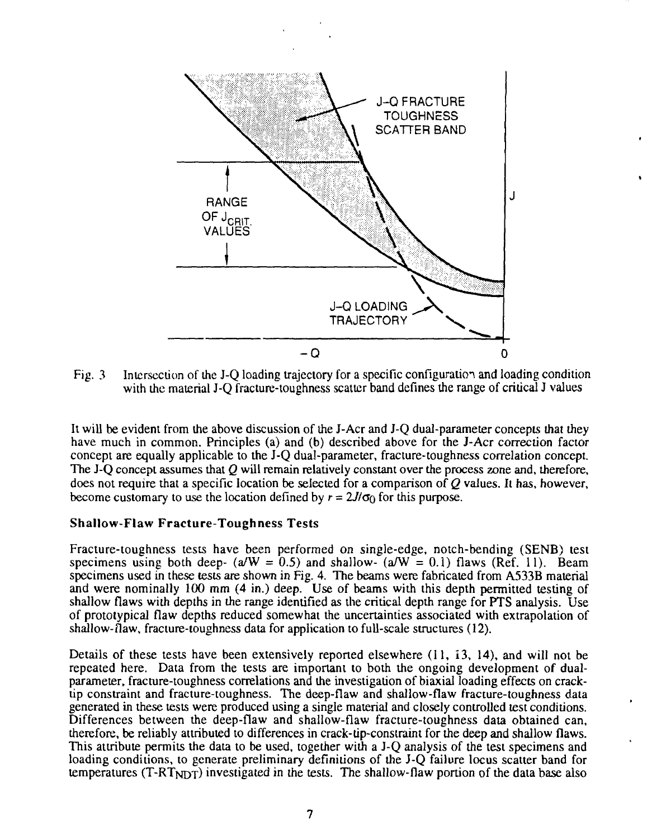

Fig. 3 Intersection of the J-Q loading trajectory for a specific configuration and loading condition with the material J-Q fracture-toughness scatter band defines the range of critical J values

It will be evident from the above discussion of the J-Acr and J-Q dual-parameter concepts that they have much in common. Principles (a) and (b) described above for the J-Acr correction factor concept are equally applicable to the J-Q dual-parameter, fracture-toughness correlation concept. The J-Q concept assumes that *Q* will remain relatively constant over the process zone and, therefore, does not require that a specific location be selected for a comparison of *Q* values. It has, however, become customary to use the location defined by  $r = 2J/\sigma_0$  for this purpose.

# **Shallow-Flaw Fracture-Toughness Tests**

Fracture-toughness tests have been performed on single-edge, notch-bending (SENB) test specimens using both deep- (a/W = 0.5) and shallow- (a/W = 0.1) flaws (Ref. 11). Beam specimens used in these tests are shown in Fig. 4. The beams were fabricated from A533B material and were nominally 100 mm (4 in.) deep. Use of beams with this depth permitted testing of shallow flaws with depths in the range identified as the critical depth range for PTS analysis. Use of prototypical flaw depths reduced somewhat the uncertainties associated with extrapolation of shallow-flaw, fracture-toughness data for application to full-scale structures (12).

Details of these tests have been extensively reported elsewhere (11, 13, 14), and will not be repeated here. Data from the tests are important to both the ongoing development of dualparameter, fracture-toughness correlations and the investigation of biaxial loading effects on cracktip constraint and fracture-toughness. The deep-flaw and shallow-flaw fracture-toughness data generated in these tests were produced using a single material and closely controlled test conditions. Differences between the deep-flaw and shallow-flaw fracture-toughness data obtained can, therefore, be reliably attributed to differences in crack-tip-constraint for the deep and shallow flaws. This attribute permits the data to be used, together with a J-Q analysis of the test specimens and loading conditions, to generate preliminary definitions of the J-Q failure locus scatter band for temperatures  $(T-RT<sub>NDT</sub>)$  investigated in the tests. The shallow-flaw portion of the data base also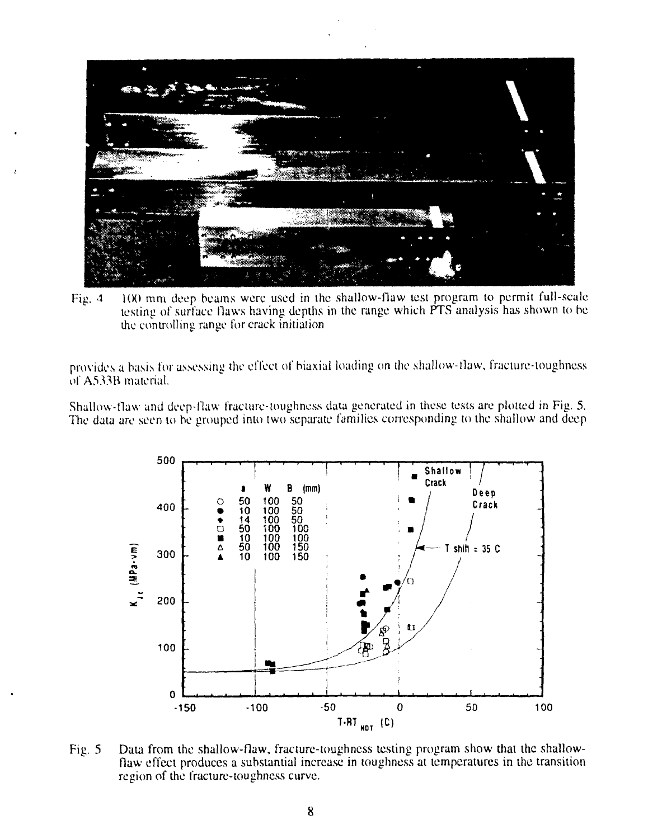

Fig. 4 I(X) mm deep beams were used in the shallow-flaw test program to permit full-scale testing of surface flaws having depths in the range which PTS analysis has shown to he the controlling range for crack initiation

provides a basis for assessing the effect of biaxial loading on the shallow-flaw, fracture-toughness of A533B material.

Shallow-Haw and deep-flaw fracture-toughness data generated in these tests are plotted in Fig. 5. The data are seen to be grouped into two separate families corresponding to the shallow and deep



Fig. 5 Data from the shallow-flaw, fracture-toughness testing program show that the shallowflaw effect produces a substantial increase in toughness at temperatures in the transition region of the fracture-toughness curve.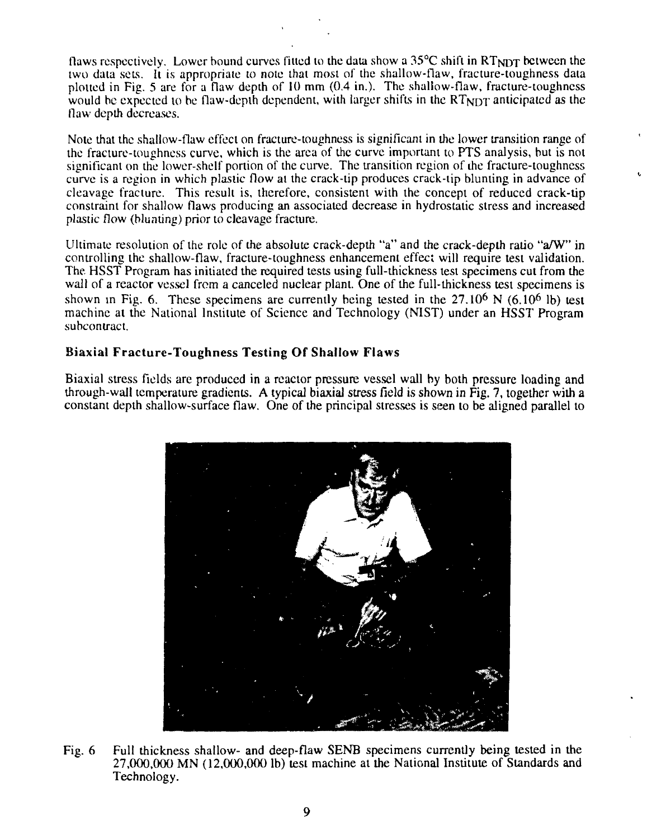flaws respectively. Lower bound curves fitted to the data show a  $35^{\circ}$ C shift in RT<sub>NDT</sub> between the two data sets. It is appropriate to note that most of the shallow-flaw, fracture-toughness data plotted in Fig. 5 are for a flaw depth of 10 mm (0.4 in.). The shallow-flaw, fracture-toughness would be expected to be flaw-depth dependent, with larger shifts in the  $RT<sub>NOT</sub>$  anticipated as the flaw depth decreases.

Note that the shallow-flaw effect on fracture-toughness is significant in the lower transition range of the fracture-toughness curve, which is the area of the curve important to PTS analysis, but is not significant on the lower-shelf portion of the curve. The transition region of ihe fracture-toughness curve is a region in which plastic flow at the crack-tip produces crack-tip blunting in advance of cleavage fracture. This result is, therefore, consistent with the concept of reduced crack-tip constraint for shallow flaws producing an associated decrease in hydrostatic stress and increased plastic flow (blunting) prior to cleavage fracture.

Ultimate resolution of the role of the absolute crack-depth "a" and the crack-depth ratio "a/W" in controlling the shallow-flaw, fracture-toughness enhancement effect will require test validation. The HSST Program has initiated the required tests using full-thickness test specimens cut from the wall of a reactor vessel from a canceled nuclear plant. One of the full-thickness test specimens is shown in Fig. 6. These specimens are currently being tested in the  $27.10^6$  N (6.10<sup>6</sup> lb) test machine at the National Institute of Science and Technology (NIST) under an HSST Program subcontract.

## **Biaxial Fracture-Toughness Testing Of Shallow Flaws**

Biaxial stress fields are produced in a reactor pressure vessel wall by both pressure loading and through-wall temperature gradients. A typical biaxial stress field is shown in Fig. 7, together with a constant depth shallow-surface flaw. One of the principal stresses is seen to be aligned parallel to



Fig. 6 Full thickness shallow- and deep-flaw SENB specimens currently being tested in the 27,000,000 MN (12,000,000 lb) test machine at the National Institute of Standards and Technology.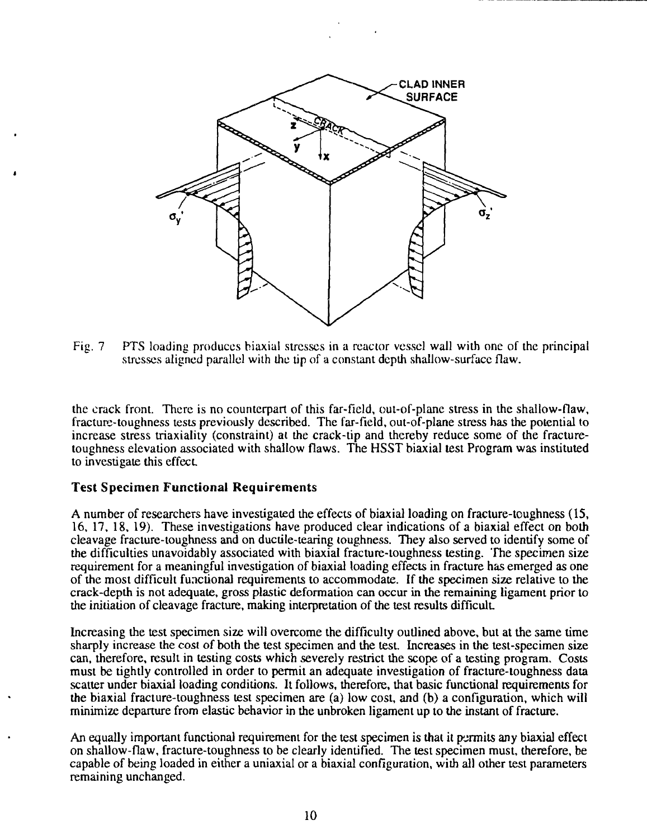

Fig. 7 PTS loading produces biaxial stresses in a reactor vessel wall with one of the piincipal stresses aligned parallel with the tip of a constant depth shallow-surface flaw.

the crack front. There is no counterpart of this far-field, out-of-plane stress in the shallow-flaw, fracture-toughness tests previously described. The far-field, out-of-plane stress has the potential to increase stress triaxiality (constraint) at the crack-tip and thereby reduce some of the fracturetoughness elevation associated with shallow flaws. The HSST biaxial test Program was instituted to investigate this effect.

## **Test Specimen Functional Requirements**

A number of researchers have investigated the effects of biaxial loading on fracture-toughness (15, 16, 17, 18, 19). These investigations have produced clear indications of a biaxial effect on both cleavage fracture-toughness and on ductile-tearing toughness. They also served to identify some of the difficulties unavoidably associated with biaxial fracture-toughness testing. The specimen size requirement for a meaningful investigation of biaxial loading effects in fracture has emerged as one of the most difficult functional requirements to accommodate. If the specimen size relative to the crack-depth is not adequate, gross plastic deformation can occur in the remaining ligament prior to the initiation of cleavage fracture, making interpretation of the test results difficult

Increasing the test specimen size will overcome the difficulty outlined above, but at the same time sharply increase the cost of both the test specimen and the lest. Increases in the test-specimen size can, therefore, result in testing costs which severely restrict the scope of a testing program. Costs must be tightly controlled in order to permit an adequate investigation of fracture-toughness data scatter under biaxial loading conditions. It follows, therefore, that basic functional requirements for the biaxial fracture-toughness test specimen are (a) low cost, and (b) a configuration, which will minimize departure from elastic behavior in the unbroken ligament up to the instant of fracture.

An equally important functional requirement for the test specimen is that it permits any biaxial effect on shallow-flaw, fracture-toughness to be clearly identified. The test specimen must, therefore, be capable of being loaded in either a uniaxial or a biaxial configuration, with all other test parameters remaining unchanged.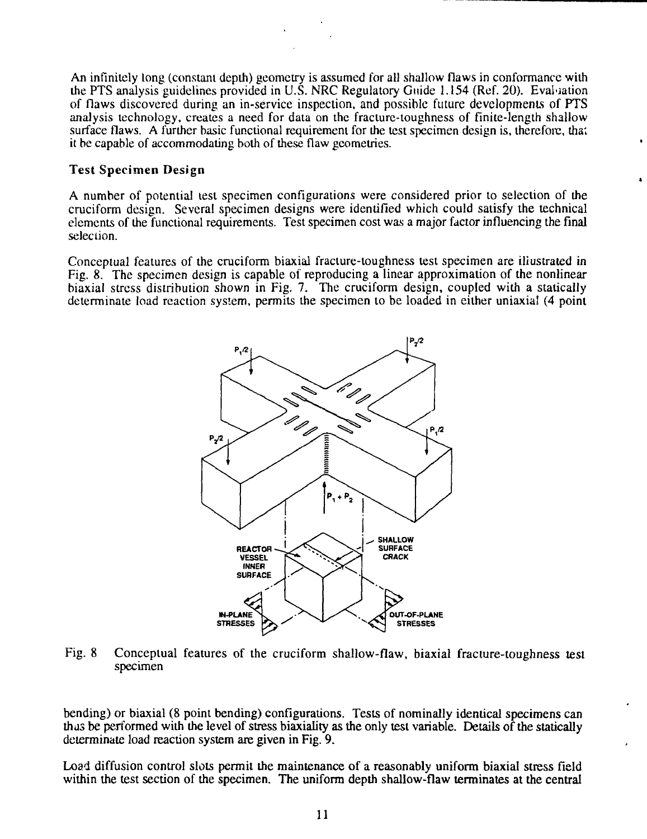An infinitely long (constant depth) geometry is assumed for all shallow flaws in conformance with the PTS analysis guidelines provided in U.S. NRC Regulatory Guide 1.154 (Ref. 20). Evaluation of flaws discovered during an in-service inspection, and possible future developments of PTS analysis technology, creates a need for data on the fracture-toughness of finite-length shallow surface flaws. A further basic functional requirement for the test specimen design is, therefore, that it be capable of accommodating both of these flaw geometries.

# Test Specimen Design

A number of potential test specimen configurations were considered prior to selection of the cruciform design. Several specimen designs were identified which could satisfy the technical elements of the functional requirements. Test specimen cost was a major factor influencing the final selection.

Conceptual features of the cruciform biaxial fracture-toughness lest specimen are illustrated in Fig. 8. The specimen design is capable of reproducing a linear approximation of the nonlinear biaxial stress distribution shown in Fig. 7. The cruciform design, coupled with a statically determinate load reaction system, permits the specimen to be loaded in either uniaxial (4 point



Fig. 8 Conceptual features of the cruciform shallow-flaw, biaxial fracture-toughness test specimen

bending) or biaxial (8 point bending) configurations. Tests of nominally identical specimens can thus be performed with the level of stress biaxiality as the only test variable. Details of the statically determinate load reaction system are given in Fig. 9.

Load diffusion control slots permit the maintenance of a reasonably uniform biaxial stress field within the test section of the specimen. The uniform depth shallow-flaw terminates at the central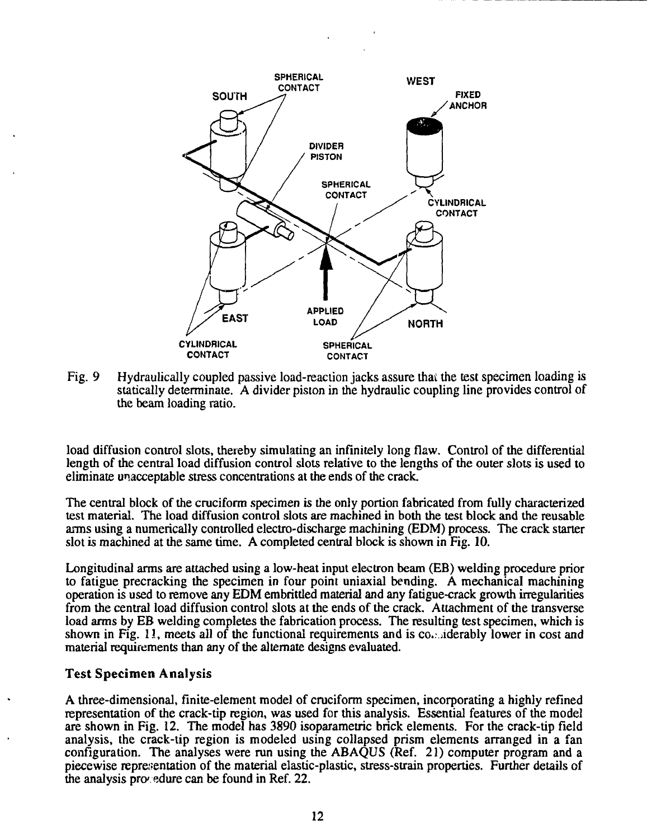

Fig. 9 Hydraulically coupled passive load-reaction jacks assure thai the test specimen loading is statically determinate. A divider piston in the hydraulic coupling line provides control of the beam loading ratio.

load diffusion control slots, thereby simulating an infinitely long flaw. Control of the differential length of the central load diffusion control slots relative to the lengths of the outer slots is used to eliminate unacceptable stress concentrations at the ends of the crack.

The central block of the cruciform specimen is the only portion fabricated from fully characterized test material. The load diffusion control slots are machined in both the test block and the reusable arms using a numerically controlled electro-discharge machining (EDM) process. The crack starter slot is machined at the same time. A completed central block is shown in Fig. 10.

Longitudinal arms are attached using a low-heat input electron beam (EB) welding procedure prior to fatigue precracking the specimen in four point uniaxial bending. A mechanical machining operation is used to remove any EDM embrittled material and any fatigue-crack growth irregularities from the central load diffusion control slots at the ends of the crack. Attachment of the transverse load arms by EB welding completes the fabrication process. The resulting test specimen, which is shown in Fig. 11, meets all of the functional requirements and is co... $\beta$  derably lower in cost and material requirements than any of the alternate designs evaluated.

# **Test Specimen Analysis**

A three-dimensional, finite-element model of cruciform specimen, incorporating a highly refined representation of the crack-tip region, was used for this analysis. Essential features of the model are shown in Fig. 12. The model has 3890 isoparametric brick elements. For the crack-tip field analysis, the crack-tip region is modeled using collapsed prism elements arranged in a fan configuration. The analyses were run using the ABAQUS (Ref. 21) computer program and a piecewise representation of the material elastic-plastic, stress-strain properties. Further details of the analysis procedure can be found in Ref. 22.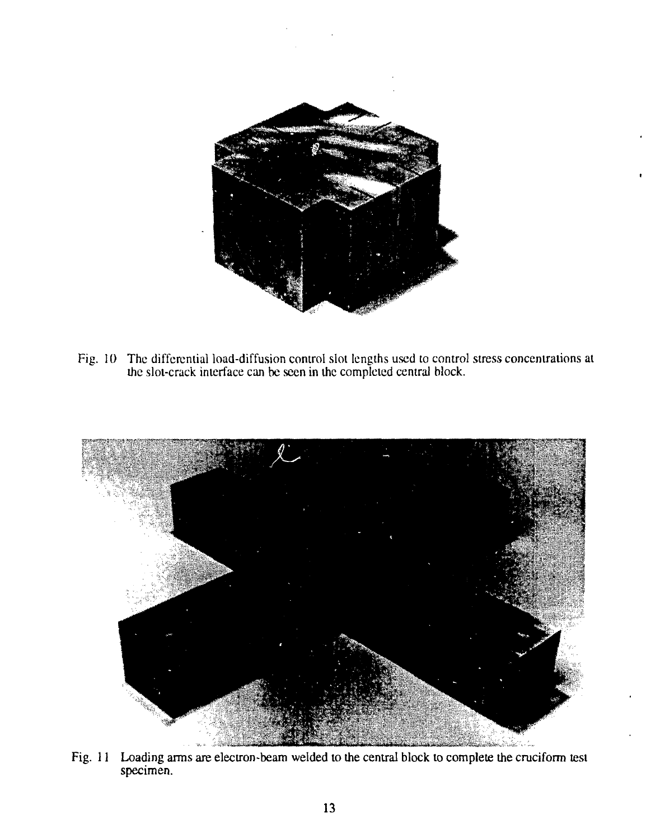

Fig. 10 The differential load-diffusion control slot lengths used to control stress concentrations at the slot-crack interface can be seen in the completed central block.



Fig. 11 Loading arms are electron-beam welded to the central block to complete the cruciform test specimen.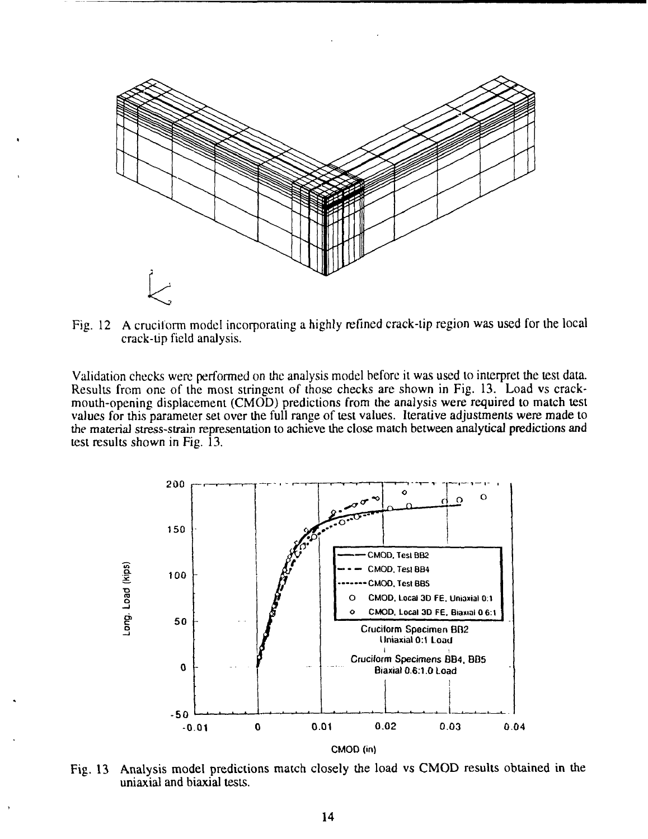

Fig. 12 A cruciform model incorporating a highly refined crack-tip region was used for the local crack-lip field analysis.

Validation checks were perfonned on the analysis model before it was used to interpret the test data. Results from one of the most stringent of those checks are shown in Fig. 13. Load vs crackmouth-opening displacement (CMOD) predictions from the analysis were required to match test values for this parameter set over the full range of test values. Iterative adjustments were made to the material stress-strain representation to achieve the close match between analytical predictions and test results shown in Fig. 13.



Fig. 13 Analysis model predictions match closely the load vs CMOD results obtained in the uniaxial and biaxial tests.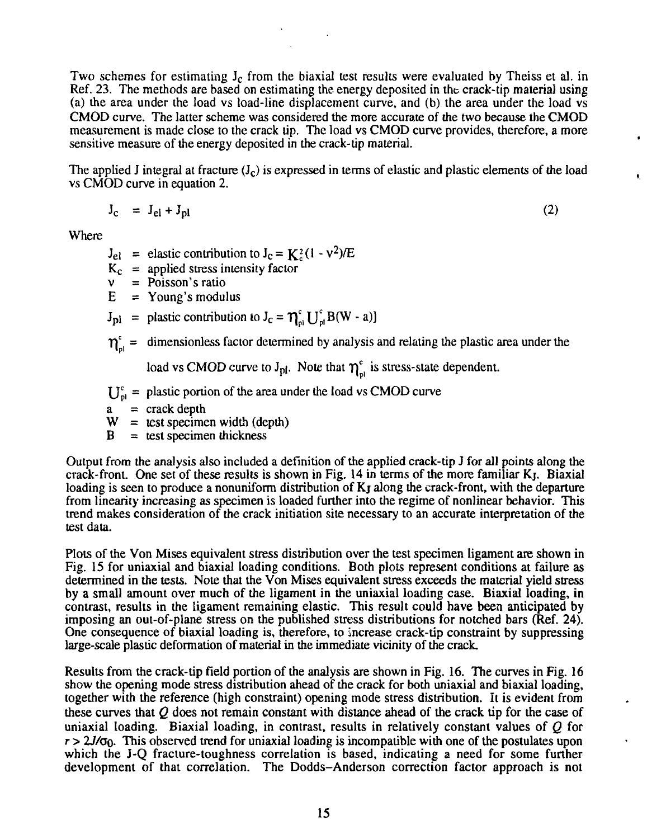Two schemes for estimating  $J_c$  from the biaxial test results were evaluated by Theiss et al. in Ref. 23. The methods are based on estimating the energy deposited in the crack-tip material using (a) the area under the load vs load-line displacement curve, and (b) the area under the load vs CMOD curve. The latter scheme was considered the more accurate of the two because the CMOD measurement is made close to the crack tip. The load vs CMOD curve provides, therefore, a more sensitive measure of the energy deposited in the crack-tip material.

The applied J integral at fracture  $(J_c)$  is expressed in terms of elastic and plastic elements of the load vs CMOD curve in equation 2.

 $\bullet$ 

$$
J_c = J_{el} + J_{pl} \tag{2}
$$

Where

 $J_{\text{el}}$  = elastic contribution to  $J_c = K_c^2 (1 - v^2) / E$ 

- $K_c$  = applied stress intensity factor
- $v = Poisson's ratio$ <br> $E = Young's moduli$
- $=$  Young's modulus
- $J_{\text{pl}}$  = plastic contribution to  $J_c = \eta_{\text{nl}}^c U_{\text{pl}}^cB(W a)$ ]

$$
\eta_{\rm pl}^{\rm c} =
$$
 dimensionless factor determined by analysis and relating the plastic area under the

load vs CMOD curve to  $J_{pl}$ . Note that  $\eta_{pl}^c$  is stress-state dependent.

- $U_p^c$  = plastic portion of the area under the load vs CMOD curve
- $=$  crack depth
- $W =$  test specimen width (depth)
- $B = \text{test specimen thickness}$

Output from the analysis also included a definition of the applied crack-tip J for all points along the crack-front. One set of these results is shown in Fig. 14 in terms of the more familiar Kj. Biaxial loading is seen to produce a nonuniform distribution of K<sub>J</sub> along the crack-front, with the departure from linearity increasing as specimen is loaded further into the regime of nonlinear behavior. This trend makes consideration of the crack initiation site necessary to an accurate interpretation of the test data.

Plots of the Von Mises equivalent stress distribution over the test specimen ligament are shown in Fig. 15 for uniaxial and biaxial loading conditions. Both plots represent conditions at failure as determined in the tests. Note that the Von Mises equivalent stress exceeds the material yield stress by a small amount over much of the ligament in the uniaxial loading case. Biaxial loading, in contrast, results in the ligament remaining elastic. This result could have been anticipated by imposing an out-of-plane stress on the published stress distributions for notched bars (Ref. 24). One consequence of biaxial loading is, therefore, to increase crack-tip constraint by suppressing large-scale plastic deformation of material in the immediate vicinity of the crack.

Results from the crack-tip field portion of the analysis are shown in Fig. 16. The curves in Fig. 16 show the opening mode stress distribution ahead of the crack for both uniaxial and biaxial loading, together with the reference (high constraint) opening mode stress distribution. It is evident from these curves that *Q* does not remain constant with distance ahead of the crack tip for the case of uniaxial loading. Biaxial loading, in contrast, results in relatively constant values of *Q* for  $r > 2J/\sigma_0$ . This observed trend for uniaxial loading is incompatible with one of the postulates upon which the J-Q fracture-toughness correlation is based, indicating a need for some further development of that correlation. The Dodds-Anderson correction factor approach is not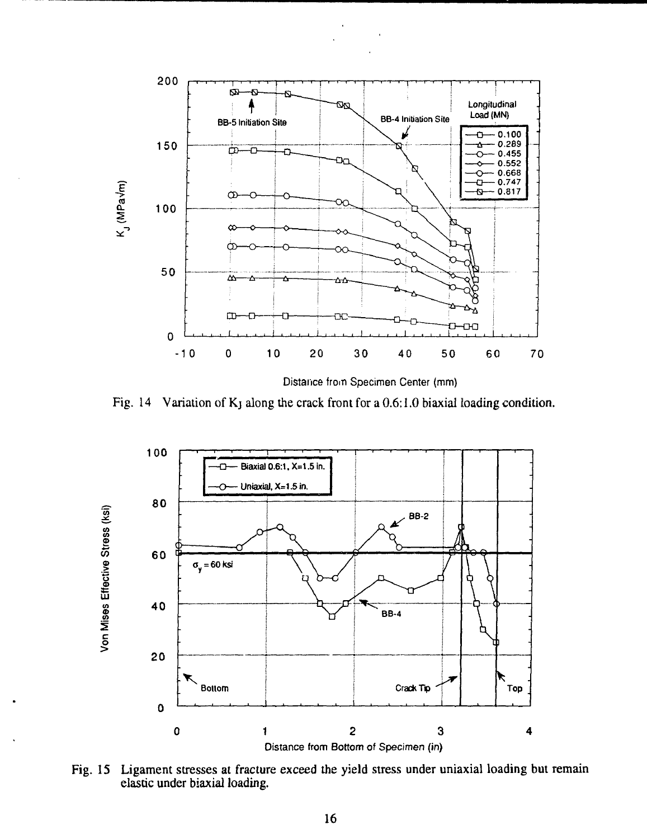

Distance from Specimen Center (mm)

Fig. 14 Variation of Kj along the crack front for a 0.6:1.0 biaxial loading condition.



Fig. 15 Ligament stresses at fracture exceed the yield stress under uniaxial loading but remain elastic under biaxial loading.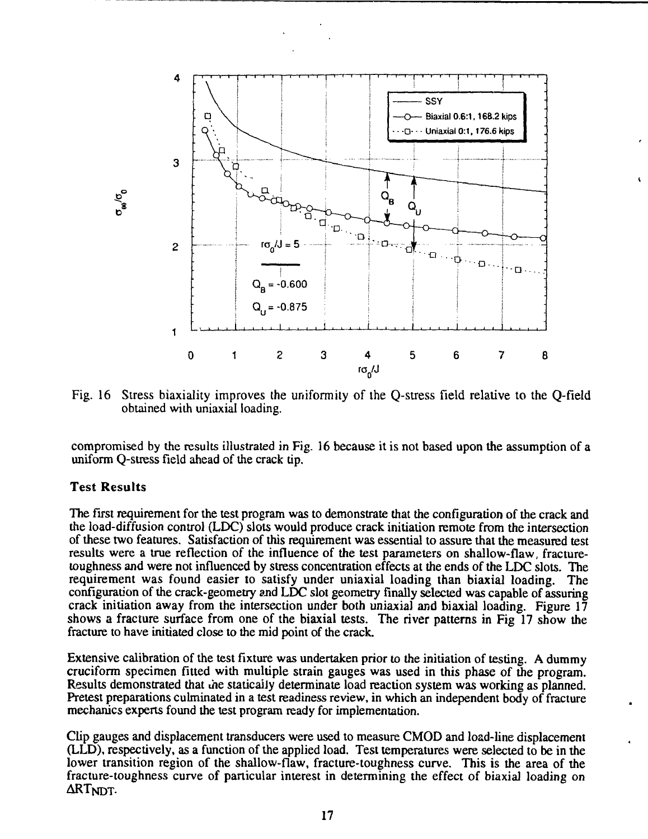

Fig. 16 Stress biaxiality improves the uniformity of the Q-stress field relative to the Q-field obtained with uniaxial loading.

compromised by the results illustrated in Fig. 16 because it is not based upon the assumption of a uniform Q-stress field ahead of the crack tip.

## Test Results

The first requirement for the test program was to demonstrate that the configuration of the crack and the load-diffusion control (LDC) slots would produce crack initiation remote from the intersection of these two features. Satisfaction of this requirement was essential to assure that the measured test results were a true reflection of the influence of the test parameters on shallow-flaw, fracturetoughness and were not influenced by stress concentration effects at the ends of the LDC slots. The requirement was found easier to satisfy under uniaxial loading than biaxial loading. The configuration of the crack-geometry and LDC slot geometry finally selected was capable of assuring crack initiation away from the intersection under both uniaxial and biaxial loading. Figure  $17$ shows a fracture surface from one of the biaxial tests. The river patterns in Fig 17 show the fracture to have initiated close to the mid point of the crack.

Extensive calibration of the test fixture was undertaken prior to the initiation of testing. A dummy cruciform specimen fitted with multiple strain gauges was used in this phase of the program. Results demonstrated that the statically determinate load reaction system was working as planned. Pretest preparations culminated in a test readiness review, in which an independent body of fracture mechanics experts found the test program ready for implementation.

Clip gauges and displacement transducers were used to measure CMOD and load-line displacement (LLD), respectively, as a function of the applied load. Test temperatures were selected to be in the lower transition region of the shallow-flaw, fracture-toughness curve. This is the area of the fracture-toughness curve of particular interest in determining the effect of biaxial loading on **ARTNDT.**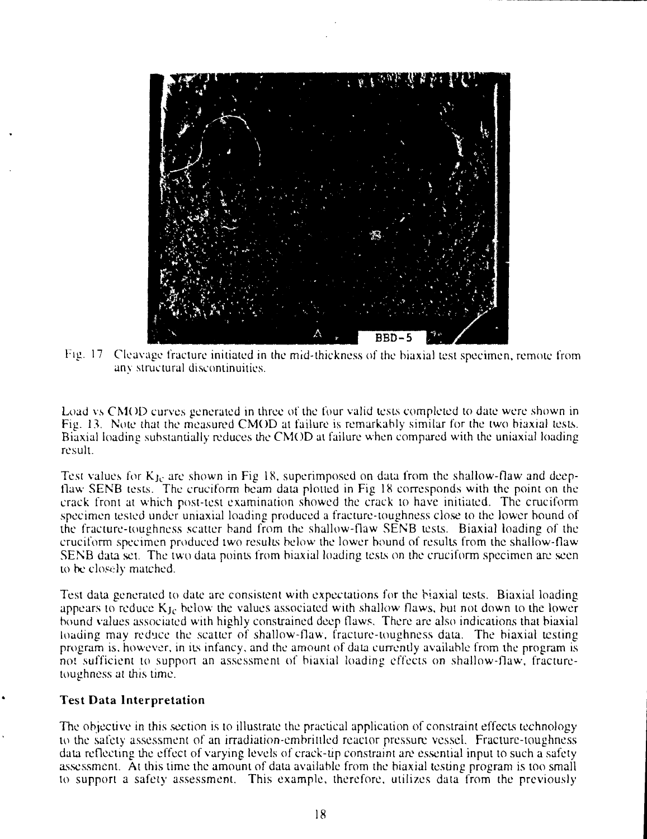

17 Cleavage fracture initiated in the mid-thickness of the biaxial lest specimen, remote from anv structural discontinuities.

Load vs CMOD curves generated in three of the four valid tests completed to date were shown in Fig. 13. Note that the measured CMOD at failure is remarkably similar for the two biaxial tests. Biaxial loading substantially reduces the CMOD al failure when compared with the uniaxiai loading result.

Test values for  $K_{Jc}$  are shown in Fig 18, superimposed on data from the shallow-flaw and deepflaw SENB tests. The cruciform beam data plotted in Fig 18 corresponds with the point on the crack front at which post-test examination showed the crack to have initiated. The cruciform specimen tested under uniaxiai loading produced a fracture-toughness close to the lower bound of the fracture-toughness scatter band from the shallow-flaw SENB tests. Biaxial loading of the cruciform specimen produced two results below the lower hound of results from the shallow-flaw SENB data set. The two data points from biaxial loading tests on the cruciform specimen are seen to be closdy matched.

Test data generated to date are consistent with expectations for the biaxial tests. Biaxial loading appears to reduce  $K_{\text{Jc}}$  below the values associated with shallow flaws, but not down to the lower bound values associated with highly constrained deep flaws. There are also indications that biaxial loading may reduce the scatter of shallow-flaw, fracture-toughness data. The biaxial testing program is. however, in its infancy, and the amount of data currently available from the program is not sufficient to support an assessment of biaxial loading effects on shallow-flaw, fracturetoughness at this time.

## **Test Data Interpretation**

The objective in this section is to illustrate the practical application of constraint effects technology to the safely assessment of an irradiation-embrittled reactor pressure vessel. Fracture-toughness data reflecting the effect of varying levels of crack-lip constraint are essential input to such a safety assessment. At this time the amount of data available from the biaxial testing program is loo small to support a safety assessment. This example, therefore, utilizes data from the previously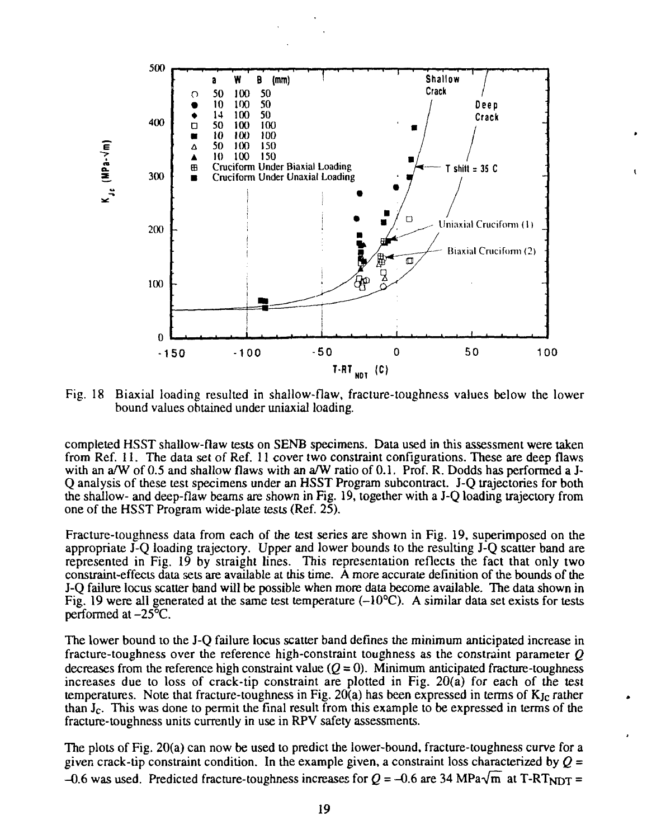

Fig. 18 Biaxial loading resulted in shallow-flaw, fracture-toughness values below the lower bound values obtained under uniaxial loading.

completed HSST shallow-flaw tests on SENB specimens. Data used in this assessment were taken from Ref. 11. The data set of Ref. 11 cover two constraint configurations. These are deep flaws with an a/W of 0.5 and shallow flaws with an a/W ratio of 0.1. Prof. R. Dodds has performed a J-Q analysis of these test specimens under an HSST Program subcontract. J-Q trajectories for both the shallow- and deep-flaw beams are shown in Fig. 19, together with a J-Q loading trajectory from one of the HSST Program wide-plate tests (Ref. 25).

Fracture-toughness data from each of the test series are shown in Fig. 19, superimposed on the appropriate J-Q loading trajectory. Upper and lower bounds to the resulting J-Q scatter band are represented in Fig. 19 by straight lines. This representation reflects the fact that only two constraint-effects data sets are available at this time. A more accurate definition of the bounds of the J-Q failure locus scatter band will be possible when more data become available. The data shown in Fig. 19 were all generated at the same test temperature  $(-10^{\circ}C)$ . A similar data set exists for tests performed at-25°C.

The lower bound to the J-Q failure locus scatter band defines the minimum anticipated increase in fracture-toughness over the reference high-constraint toughness as the constraint parameter *Q* decreases from the reference high constraint value  $(Q = 0)$ . Minimum anticipated fracture-toughness increases due to loss of crack-tip constraint are plotted in Fig. 20(a) for each of the test temperatures. Note that fracture-toughness in Fig. 20(a) has been expressed in terms of  $K_{\text{Jc}}$  rather than  $J_c$ . This was done to permit the final result from this example to be expressed in terms of the fracture-toughness units currently in use in RPV safety assessments.

The plots of Fig. 20(a) can now be used to predict the lower-bound, fracture-toughness curve for a given crack-tip constraint condition. In the example given, a constraint loss characterized by *Q =*  $-0.6$  was used. Predicted fracture-toughness increases for  $Q = -0.6$  are 34 MPa $\sqrt{m}$  at T-RT<sub>NDT</sub> =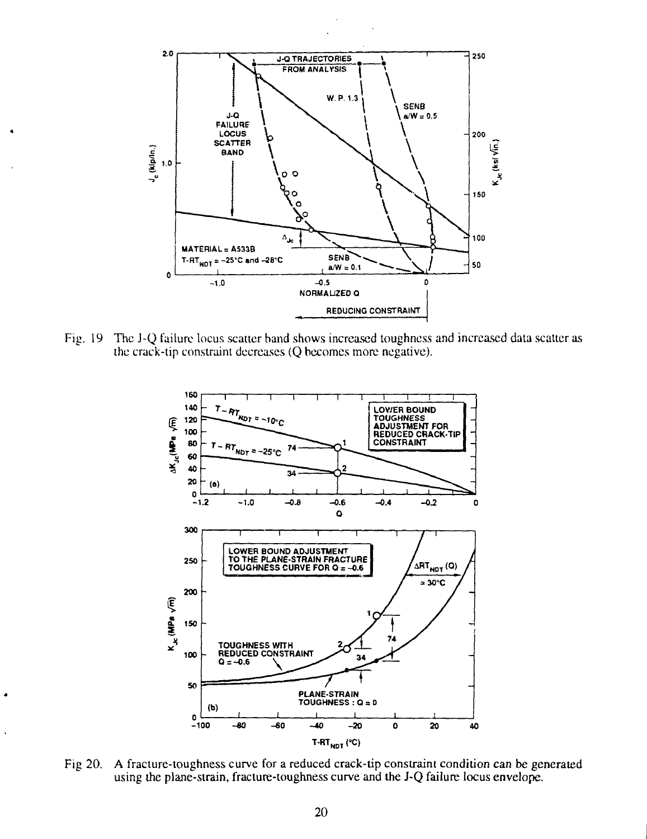

Fig. 19 The J-Q failure locus scatter band shows increased toughness and increased data scatter as the crack-tip constraint decreases (Q becomes more negative).



Fig 20. A fracture-toughness curve for a reduced crack-tip constraint condition can be generated using the plane-strain, fracture-toughness curve and the J-Q failure locus envelope.

 $\bullet$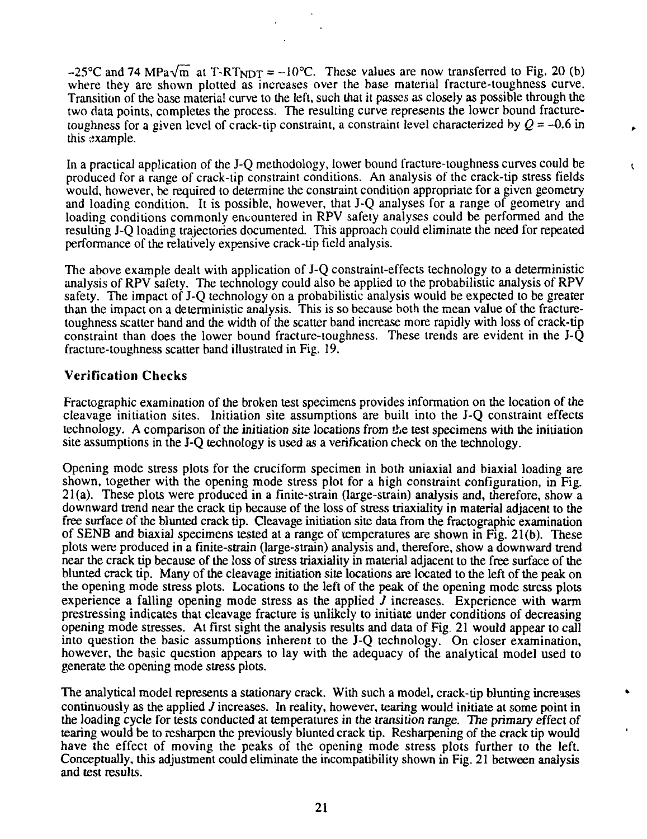$-25^{\circ}$ C and 74 MPa $\sqrt{m}$  at T-RT<sub>NDT</sub> =  $-10^{\circ}$ C. These values are now transferred to Fig. 20 (b) where they are shown plotted as increases over the base material fracture-toughness curve. Transition of the base material curve to the left, such that it passes as closely as possible through the two data points, completes the process. The resulting curve represents the lower bound fracturetoughness for a given level of crack-tip constraint, a constraint level characterized by  $Q = -0.6$  in this example.

٠

 $\mathbf{C}$ 

In a practical application of the J-Q methodology, lower bound fracture-toughness curves could be produced for a range of crack-tip constraint conditions. An analysis of the crack-tip stress fields would, however, be required to determine the constraint condition appropriate for a given geometry and loading condition. It is possible, however, that J-Q analyses for a range of geometry and loading conditions commonly encountered in RPV safety analyses could be performed and the resulting J-Q loading trajectories documented. This approach could eliminate the need for repeated performance of the relatively expensive crack-tip field analysis.

The above example dealt with application of J-Q constraint-effects technology to a deterministic analysis of RPV safety. The technology could also be applied to the probabilistic analysis of RPV safety. The impact of J-Q technology on a probabilistic analysis would be expected to be greater than the impact on a deterministic analysis. This is so because both the mean value of the fracturetoughness scatter band and the width of the scatter band increase more rapidly with loss of crack-tip constraint than does the lower bound fracture-toughness. These trends are evident in the J-Q fracture-toughness scatter band illustrated in Fig. 19.

# **Verification Checks**

Fractographic examination of the broken test specimens provides information on the location of the cleavage initiation sites. Initiation site assumptions are built into the J-Q constraint effects technology. A comparison of the initiation site locations from the test specimens with the initiation site assumptions in the J-Q technology is used as a verification check on the technology.

Opening mode stress plots for the cruciform specimen in both uniaxial and biaxial loading are shown, together with the opening mode stress plot for a high constraint configuration, in Fig. 21 (a). These plots were produced in a finite-strain (large-strain) analysis and, therefore, show a downward trend near the crack tip because of the loss of stress triaxiality in material adjacent to the free surface of the blunted crack tip. Cleavage initiation site data from the fractographic examination of SENB and biaxial specimens tested at a range of temperatures are shown in Fig. 21(b). These plots were produced in a finite-strain (large-strain) analysis and, therefore, show a downward trend near the crack tip because of the loss of stress triaxiality in material adjacent to the free surface of the blunted crack tip. Many of the cleavage initiation site locations are located to the left of the peak on the opening mode stress plots. Locations to the left of the peak of the opening mode stress plots experience a falling opening mode stress as the applied *J* increases. Experience with warm prestressing indicates that cleavage fracture is unlikely to initiate under conditions of decreasing opening mode stresses. At first sight the analysis results and data of Fig. 21 would appear to call into question the basic assumptions inherent to the J-Q technology. On closer examination, however, the basic question appears to lay with the adequacy of the analytical model used to generate the opening mode stress plots.

The analytical model represents a stationary crack. With such a model, crack-tip blunting increases continuously as the applied / increases. In reality, however, tearing would initiate at some point in the loading cycle for tests conducted at temperatures in the transition range. The primary effect of tearing would be to resharpen the previously blunted crack tip. Resharpening of the crack tip would have the effect of moving the peaks of the opening mode stress plots further to the left. Conceptually, this adjustment could eliminate the incompatibility shown in Fig. 21 between analysis and test results.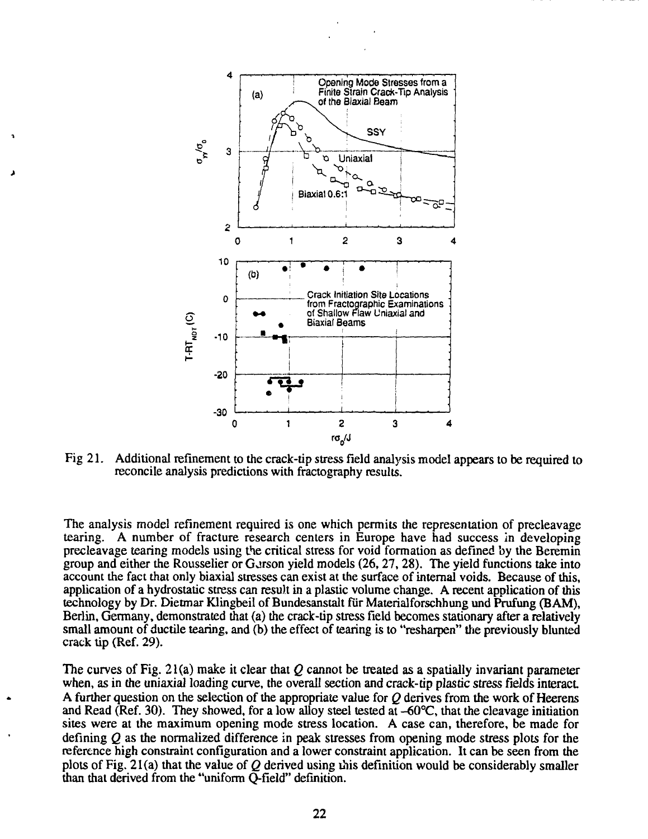

Fig 21. Additional refinement to the crack-tip stress field analysis model appears to be required to reconcile analysis predictions with fractography results.

The analysis model refinement required is one which permits the representation of precleavage tearing. A number of fracture research centers in Europe have had success in developing precleavage tearing models using the critical stress for void formation as defined by the Beremin group and either the Rousselier or Garson yield models (26,27,28). The yield functions take into account the fact that only biaxial stresses can exist at the surface of internal voids. Because of this, application of a hydrostatic stress can result in a plastic volume change. A recent application of this technology by Dr. Dietmar Klingbeil of Bundesanstalt fur Materialforschhung und Prufung (BAM), Berlin, Germany, demonstrated that (a) the crack-tip stress field becomes stationary after a relatively small amount of ductile tearing, and (b) the effect of tearing is to "resharpen" the previously blunted crack tip (Ref. 29).

The curves of Fig. 21 (a) make it clear that *Q* cannot be treated as a spatially invariant parameter when, as in the uniaxial loading curve, the overall section and crack-tip plastic stress fields interact. A further question on the selection of the appropriate value for *Q* derives from the work of Heerens and Read (Ref. 30). They showed, for a low alloy steel tested at  $-60^{\circ}$ C, that the cleavage initiation sites were at the maximum opening mode stress location. A case can, therefore, be made for defining *Q* as the normalized difference in peak stresses from opening mode stress plots for the reference high constraint configuration and a lower constraint application. It can be seen from the plots of Fig. 21 (a) that the value of *Q* derived using ihis definition would be considerably smaller than that derived from the "uniform Q-field" definition.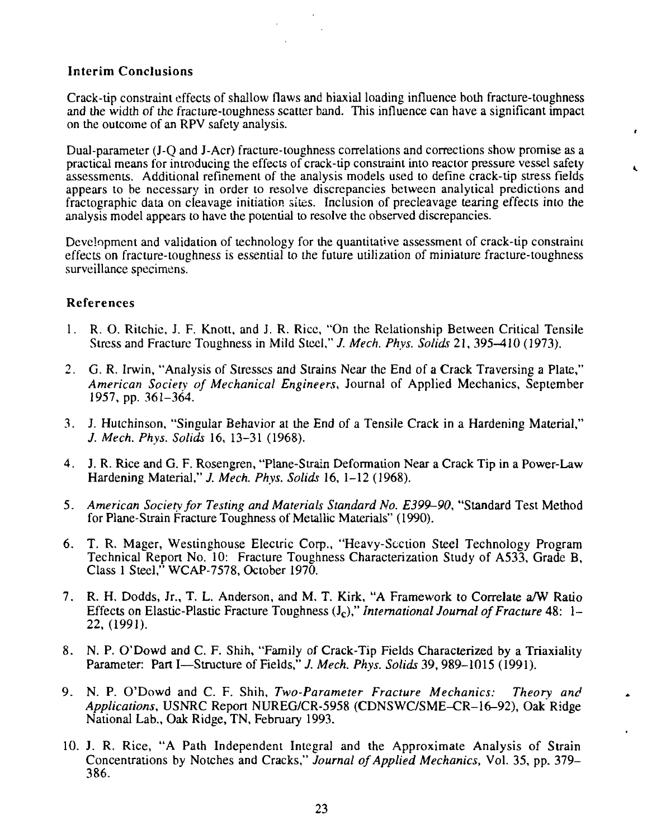## **Interim Conclusions**

Crack-tip constraint effects of shallow flaws and biaxial loading influence both fracture-toughness and the width of the fracture-toughness scatter band. This influence can have a significant impact on the outcome of an RPV safety analysis.

 $\epsilon$ 

À.

Dual-parameter (J-Q and J-Acr) fracture-toughness correlations and corrections show promise as a practical means for introducing the effects of crack-tip constraint into reactor pressure vessel safety assessments. Additional refinement of the analysis models used to define crack-tip stress fields appears to be necessary in order to resolve discrepancies between analytical predictions and fractographic data on cleavage initiation sites. Inclusion of precleavage tearing effects into the analysis model appears to have the potential to resolve the observed discrepancies.

Development and validation of technology for the quantitative assessment of crack-tip constraint effects on fracture-toughness is essential to the future utilization of miniature fracture-toughness surveillance specimens.

## **References**

- 1. R. O. Ritchie, J. F. Knotl, and J. R. Rice, "On the Relationship Between Critical Tensile Stress and Fracture Toughness in Mild Steel," *J. Mech. Phys. Solids* 21, 395-410 (1973).
- 2. G. R. Irwin, "Analysis of Stresses and Strains Near the End of a Crack Traversing a Plate," *American Society- of Mechanical Engineers,* Journal of Applied Mechanics, September 1957, pp. 361-364.
- 3. J. Hutchinson, "Singular Behavior at the End of a Tensile Crack in a Hardening Material," *J. Mech. Phys. Solids* 16, 13-31 (1968).
- 4. J. R. Rice and G. F. Rosengren, "Plane-Strain Deformation Near a Crack Tip in a Power-Law Hardening Material," *J. Mech. Phys. Solids* 16, 1-12 (1968).
- 5. *American Society for Testing and Materials Standard No. E399-90,* "Standard Test Method for Plane-Strain Fracture Toughness of Metallic Materials" (1990).
- 6. T. R. Mager, Westinghouse Electric Corp., "Heavy-Section Steel Technology Program Technical Report No. 10: Fracture Toughness Characterization Study of A533, Grade B, Class 1 Steel," WCAP-7578, October 1970.
- 7. R. H. Dodds, Jr., T. L. Anderson, and M. T. Kirk, "A Framework to Correlate a/W Ratio Effects on Elastic-Plastic Fracture Toughness (Jc)," *International Journal of Fracture* 48: 1- 22, (1991).
- 8. N. P. O'Dowd and C. F. Shih, "Family of Crack-Tip Fields Characterized by a Triaxiality Parameter: Part I—Structure of Fields," *J. Mech. Phys. Solids* 39,989-1015 (1991).
- 9. N. P. O'Dowd and C. F. Shih, *Two-Parameter Fracture Mechanics: Theory and Applications,* USNRC Report NUREG/CR-5958 (CDNSWC/SME-CR-16-92), Oak Ridge National Lab., Oak Ridge, TN, February 1993.
- 10. J. R. Rice, "A Path Independent Integral and the Approximate Analysis of Strain Concentrations by Notches and Cracks," *Journal of Applied Mechanics,* Vol. 35, pp. 379- 386.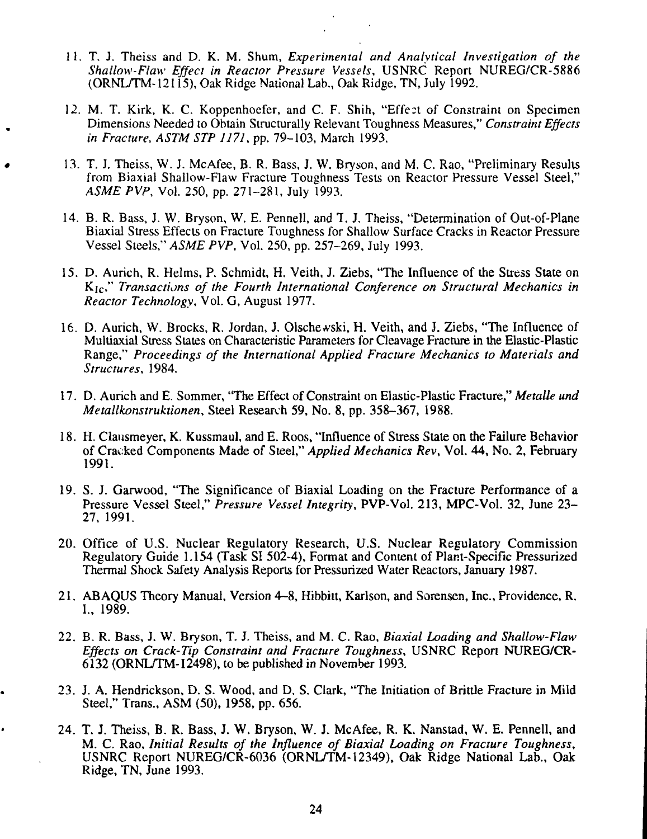- 11. T. J. Theiss and D. K. M. Shum, *Experimental and Analytical Investigation of the Shallow-Flaw Effect in Reactor Pressure Vessels,* USNRC Report NUREG/CR-5886 (ORNL/TM-12115), Oak Ridge National Lab., Oak Ridge, TN, July 1992.
- 12. M. T. Kirk, K. C. Koppenhoefer, and C. F. Shin, "Effect of Constraint on Specimen Dimensions Needed to Obtain Structurally Relevant Toughness Measures," *Constraint Effects in Fracture, ASTM STP 1171,* pp. 79-103, March 1993.
- 13. T. J. Theiss, W. J. McAfee, B. R. Bass, J. W. Bryson, and M. C. Rao, "Preliminary Results from Biaxial Shallow-Flaw Fracture Toughness Tests on Reactor Pressure Vessel Steel," *ASME PVP,* Vol. 250, pp. 271-281, July 1993.
- 14. B. R. Bass, J. W. Bryson, W. E. Pennell, and T. J. Theiss, "Determination of Out-of-Plane Biaxial Stress Effects on Fracture Toughness for Shallow Surface Cracks in Reactor Pressure Vessel Steels," *ASME PVP,* Vol. 250, pp. 257-269, July 1993.
- 15. D. Aurich, R. Helms, P. Schmidt, H. Veith, J. Ziebs, 'The Influence of the Stress State on Kic," *Transactions of the Fourth International Conference on Structural Mechanics in Reactor Technology,* Vol. G, August 1977.
- 16. D. Aurich, W. Brocks, R. Jordan, J. Olsche.vski, H. Veith, and J. Ziebs, "The Influence of Multiaxial Stress States on Characteristic Parameters for Cleavage Fracture in the Elastic-Plastic Range," *Proceedings of the International Applied Fracture Mechanics to Materials and Structures,* 1984.
- 17. D. Aurich and E. Sommer, "The Effect of Constraint on Elastic-Plastic Fracture," *Metalle und Metallkonstruktionen,* Steel Research 59, No. 8, pp. 358-367, 1988.
- 18. H. Clausmeyer, K. Kussmaul, and E. Roos, "Influence of Stress Slate on the Failure Behavior of Cracked Components Made of Steel," *Applied Mechanics Rev,* Vol. 44, No. 2, February 1991.
- 19. S. J. Garwood, "The Significance of Biaxial Loading on the Fracture Performance of a Pressure Vessel Steel," *Pressure Vessel Integrity,* PVP-Vol. 213, MFC-Vol. 32, June 23- 27, 1991.
- 20. Office of U.S. Nuclear Regulatory Research, U.S. Nuclear Regulatory Commission Regulatory Guide 1.154 (Task SI 502-4), Format and Content of Plant-Specific Pressurized Thermal Shock Safety Analysis Reports for Pressurized Water Reactors, January 1987.
- 21. ABAQUS Theory Manual, Version 4-8, Hibbitt, Karlson, and Sorensen, Inc., Providence, R. I., 1989.
- 22. B. R. Bass, J. W. Bryson, T. J. Theiss, and M. C. Rao, *Biaxial Loading and Shallow-Flaw Effects on Crack-Tip Constraint and Fracture Toughness,* USNRC Report NUREG/CR-6132 (ORNL/TM-12498), to be published in November 1993.
- 23. J. A. Hendrickson, D. S. Wood, and D. S. Clark, "The Initiation of Brittle Fracture in Mild Steel," Trans., ASM (50), 1958, pp. 656.
- 24. T. J. Theiss, B. R. Bass, J. W. Bryson, W. J. McAfee, R. K. Nanstad, W. E. Pennell, and M. C. Rao, *Initial Results of the Influence of Biaxial Loading on Fracture Toughness,* USNRC Report NUREG/CR-6036 (ORNL/TM-12349), Oak Ridge National Lab., Oak Ridge, TN, June 1993.